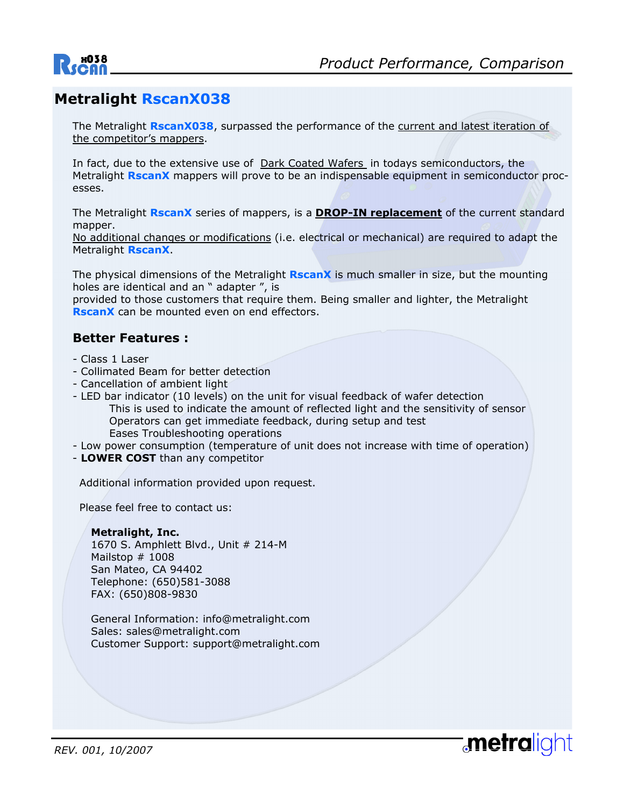

## **Metralight RscanX038**

The Metralight **RscanX038**, surpassed the performance of the current and latest iteration of the competitor's mappers.

In fact, due to the extensive use of Dark Coated Wafers in todays semiconductors, the Metralight **RscanX** mappers will prove to be an indispensable equipment in semiconductor processes.

The Metralight **RscanX** series of mappers, is a **DROP-IN replacement** of the current standard mapper.

No additional changes or modifications (i.e. electrical or mechanical) are required to adapt the Metralight **RscanX**.

The physical dimensions of the Metralight **RscanX** is much smaller in size, but the mounting holes are identical and an " adapter ", is

provided to those customers that require them. Being smaller and lighter, the Metralight **RscanX** can be mounted even on end effectors.

#### **Better Features :**

- Class 1 Laser
- Collimated Beam for better detection
- Cancellation of ambient light
- LED bar indicator (10 levels) on the unit for visual feedback of wafer detection This is used to indicate the amount of reflected light and the sensitivity of sensor Operators can get immediate feedback, during setup and test Eases Troubleshooting operations
- Low power consumption (temperature of unit does not increase with time of operation)
- **LOWER COST** than any competitor

Additional information provided upon request.

Please feel free to contact us:

#### **Metralight, Inc.**

 1670 S. Amphlett Blvd., Unit # 214-M Mailstop # 1008 San Mateo, CA 94402 Telephone: (650)581-3088 FAX: (650)808-9830

 General Information: info@metralight.com Sales: sales@metralight.com Customer Support: support@metralight.com

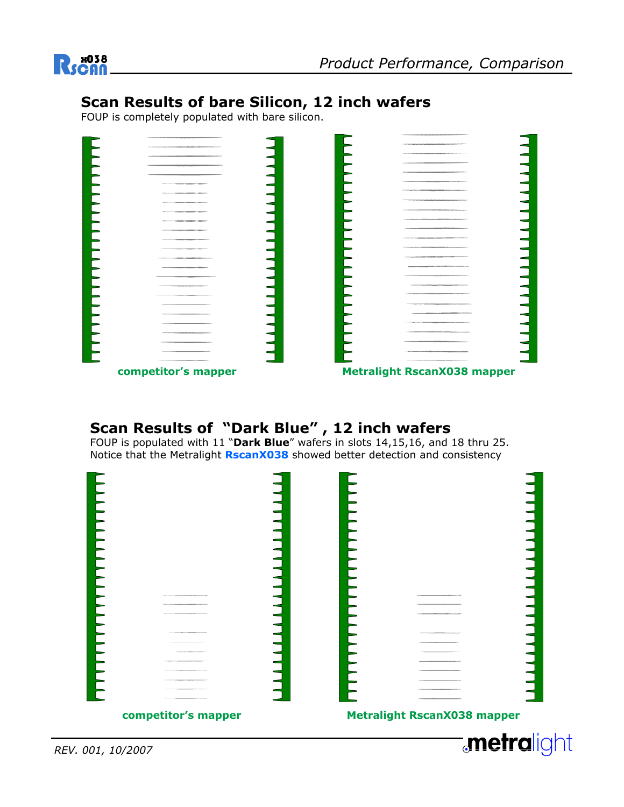

## **Scan Results of bare Silicon, 12 inch wafers**

FOUP is completely populated with bare silicon.

| $\label{eq:2.1} \mathcal{L}_{\mathcal{A}}\left(\mathcal{L}_{\mathcal{A}}\right) = \mathcal{L}_{\mathcal{A}}\left(\mathcal{L}_{\mathcal{A}}\right) = \mathcal{L}_{\mathcal{A}}\left(\mathcal{L}_{\mathcal{A}}\right) = \mathcal{L}_{\mathcal{A}}\left(\mathcal{L}_{\mathcal{A}}\right) = \mathcal{L}_{\mathcal{A}}\left(\mathcal{L}_{\mathcal{A}}\right) = \mathcal{L}_{\mathcal{A}}\left(\mathcal{L}_{\mathcal{A}}\right) = \mathcal{L}_{\mathcal{A}}\left(\mathcal{L}_{\mathcal{A}}\right) = \$ |  | The property and manufactual medicine and the distribution of the distribution of the con-                                                                                                                                                       |  |
|--------------------------------------------------------------------------------------------------------------------------------------------------------------------------------------------------------------------------------------------------------------------------------------------------------------------------------------------------------------------------------------------------------------------------------------------------------------------------------------------------|--|--------------------------------------------------------------------------------------------------------------------------------------------------------------------------------------------------------------------------------------------------|--|
| ____<br>the property and an address of the contract of the contract of the contract of                                                                                                                                                                                                                                                                                                                                                                                                           |  | The printer of the control and control and control and control and                                                                                                                                                                               |  |
| Constitution and policy the company per company of the Constitution Constitution                                                                                                                                                                                                                                                                                                                                                                                                                 |  | <b>CONTRACTOR</b>                                                                                                                                                                                                                                |  |
| <b>Particularly Service</b>                                                                                                                                                                                                                                                                                                                                                                                                                                                                      |  | the control of the control of the control of the control of the control of the control of the control of the control of the control of the control of the control of the control of the control of the control of the control                    |  |
|                                                                                                                                                                                                                                                                                                                                                                                                                                                                                                  |  |                                                                                                                                                                                                                                                  |  |
| and the company sufficer different                                                                                                                                                                                                                                                                                                                                                                                                                                                               |  | The company of the control and property the party of the control of the control of                                                                                                                                                               |  |
| and the control of the property and property the property                                                                                                                                                                                                                                                                                                                                                                                                                                        |  | The contract of the contract of the contract of the contract of the contract of the contract of                                                                                                                                                  |  |
| and a second company and a second company of the second of                                                                                                                                                                                                                                                                                                                                                                                                                                       |  | and the photograph are constructed in the con-                                                                                                                                                                                                   |  |
| <b>Commercial Commercial Concerns</b>                                                                                                                                                                                                                                                                                                                                                                                                                                                            |  | <b><i><u>Spiritual control control de la control de la control de la control de la control de la control de la control de la control de la control de la control de la control de la control de la control de la control de la contr</u></i></b> |  |
| <b><i>STATE CONTRACTORY COMPANY</i></b>                                                                                                                                                                                                                                                                                                                                                                                                                                                          |  |                                                                                                                                                                                                                                                  |  |
| _____                                                                                                                                                                                                                                                                                                                                                                                                                                                                                            |  | and the control of the control of the control of the control of the control of the control of the control of the control of the control of the control of the control of the control of the control of the control of the cont                   |  |
|                                                                                                                                                                                                                                                                                                                                                                                                                                                                                                  |  |                                                                                                                                                                                                                                                  |  |
|                                                                                                                                                                                                                                                                                                                                                                                                                                                                                                  |  | _____<br>_____                                                                                                                                                                                                                                   |  |
| -                                                                                                                                                                                                                                                                                                                                                                                                                                                                                                |  | the track of the countries of the problem of the countries of the countries of the countries.                                                                                                                                                    |  |
|                                                                                                                                                                                                                                                                                                                                                                                                                                                                                                  |  |                                                                                                                                                                                                                                                  |  |
| $ -$<br>____                                                                                                                                                                                                                                                                                                                                                                                                                                                                                     |  | ______<br>---                                                                                                                                                                                                                                    |  |
|                                                                                                                                                                                                                                                                                                                                                                                                                                                                                                  |  | _____                                                                                                                                                                                                                                            |  |
|                                                                                                                                                                                                                                                                                                                                                                                                                                                                                                  |  | ________                                                                                                                                                                                                                                         |  |
|                                                                                                                                                                                                                                                                                                                                                                                                                                                                                                  |  | ---                                                                                                                                                                                                                                              |  |
|                                                                                                                                                                                                                                                                                                                                                                                                                                                                                                  |  | The contract of the contract of the contract of the contract of the contract of the contract of                                                                                                                                                  |  |
|                                                                                                                                                                                                                                                                                                                                                                                                                                                                                                  |  |                                                                                                                                                                                                                                                  |  |
| ____                                                                                                                                                                                                                                                                                                                                                                                                                                                                                             |  |                                                                                                                                                                                                                                                  |  |
|                                                                                                                                                                                                                                                                                                                                                                                                                                                                                                  |  |                                                                                                                                                                                                                                                  |  |
|                                                                                                                                                                                                                                                                                                                                                                                                                                                                                                  |  | and the contract of the contract of the contract of the contract of the contract of the contract of the contract of the contract of the contract of the contract of the contract of the contract of the contract of the contra                   |  |
|                                                                                                                                                                                                                                                                                                                                                                                                                                                                                                  |  |                                                                                                                                                                                                                                                  |  |
|                                                                                                                                                                                                                                                                                                                                                                                                                                                                                                  |  |                                                                                                                                                                                                                                                  |  |
|                                                                                                                                                                                                                                                                                                                                                                                                                                                                                                  |  | the contract of the contract of the contract of the contract of the contract of<br>$\sim$ $\sim$ $\sim$                                                                                                                                          |  |

**competitor's mapper** 

**Metralight RscanX038 mapper**

# **Scan Results of "Dark Blue" , 12 inch wafers**

FOUP is populated with 11 "**Dark Blue**" wafers in slots 14,15,16, and 18 thru 25. Notice that the Metralight **RscanX038** showed better detection and consistency